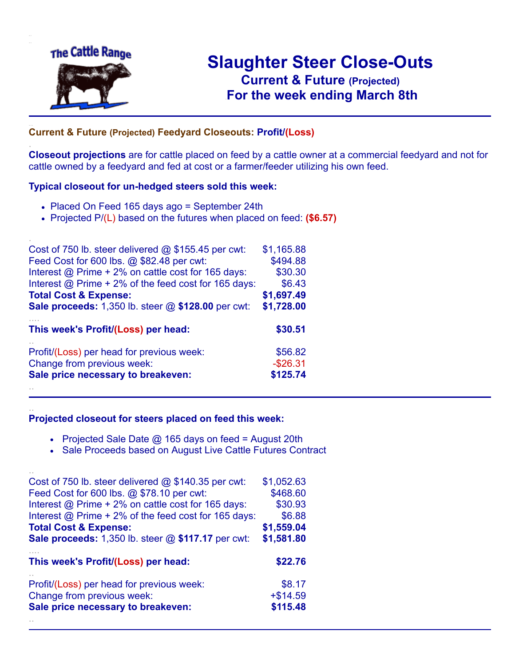

.

..

# **Slaughter Steer Close-Outs Current & Future (Projected)** .**For the week ending March 8th**

## ... **Current & Future (Projected) Feedyard Closeouts: Profit/(Loss)**

**Closeout projections** are for cattle placed on feed by a cattle owner at a commercial feedyard and not for cattle owned by a feedyard and fed at cost or a farmer/feeder utilizing his own feed.

#### **Typical closeout for un-hedged steers sold this week:**

- Placed On Feed 165 days ago = September 24th
- Projected P/(L) based on the futures when placed on feed: **(\$6.57)**

| Cost of 750 lb. steer delivered $@$ \$155.45 per cwt:     | \$1,165.88  |
|-----------------------------------------------------------|-------------|
| Feed Cost for 600 lbs. @ \$82.48 per cwt:                 | \$494.88    |
| Interest @ Prime + 2% on cattle cost for 165 days:        | \$30.30     |
| Interest @ Prime + 2% of the feed cost for 165 days:      | \$6.43      |
| <b>Total Cost &amp; Expense:</b>                          | \$1,697.49  |
| <b>Sale proceeds:</b> 1,350 lb. steer @ \$128.00 per cwt: | \$1,728.00  |
| This week's Profit/(Loss) per head:                       | \$30.51     |
| Profit/(Loss) per head for previous week:                 | \$56.82     |
| Change from previous week:                                | $-$ \$26.31 |
|                                                           |             |
| Sale price necessary to breakeven:                        | \$125.74    |

#### **Projected closeout for steers placed on feed this week:**

- Projected Sale Date @ 165 days on feed = August 20th
- Sale Proceeds based on August Live Cattle Futures Contract

| Cost of 750 lb. steer delivered $@$ \$140.35 per cwt:     | \$1,052.63 |
|-----------------------------------------------------------|------------|
| Feed Cost for 600 lbs. @ \$78.10 per cwt:                 | \$468.60   |
| Interest @ Prime + 2% on cattle cost for 165 days:        | \$30.93    |
| Interest @ Prime + 2% of the feed cost for 165 days:      | \$6.88     |
| <b>Total Cost &amp; Expense:</b>                          | \$1,559.04 |
| <b>Sale proceeds:</b> 1,350 lb. steer @ \$117.17 per cwt: | \$1,581.80 |
|                                                           |            |
| This week's Profit/(Loss) per head:                       | \$22.76    |
| Profit/(Loss) per head for previous week:                 | \$8.17     |
| Change from previous week:                                | $+ $14.59$ |
| Sale price necessary to breakeven:                        | \$115.48   |